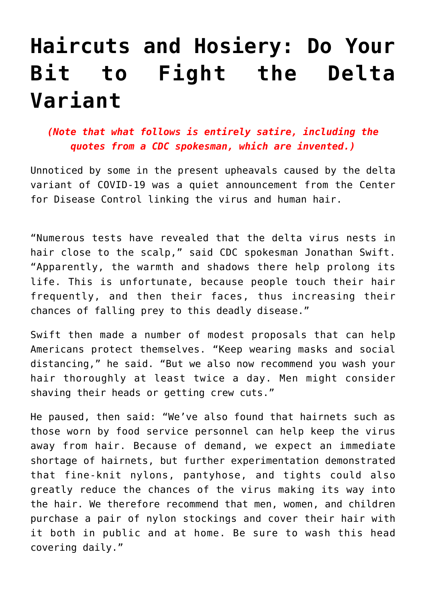## **[Haircuts and Hosiery: Do Your](https://intellectualtakeout.org/2021/09/haircuts-and-hosiery-do-your-bit-to-fight-the-delta-variant/) [Bit to Fight the Delta](https://intellectualtakeout.org/2021/09/haircuts-and-hosiery-do-your-bit-to-fight-the-delta-variant/) [Variant](https://intellectualtakeout.org/2021/09/haircuts-and-hosiery-do-your-bit-to-fight-the-delta-variant/)**

*(Note that what follows is entirely satire, including the quotes from a CDC spokesman, which are invented.)*

Unnoticed by some in the present upheavals caused by the delta variant of COVID-19 was a quiet announcement from the Center for Disease Control linking the virus and human hair.

"Numerous tests have revealed that the delta virus nests in hair close to the scalp," said CDC spokesman Jonathan Swift. "Apparently, the warmth and shadows there help prolong its life. This is unfortunate, because people touch their hair frequently, and then their faces, thus increasing their chances of falling prey to this deadly disease."

Swift then made a number of modest proposals that can help Americans protect themselves. "Keep wearing masks and social distancing," he said. "But we also now recommend you wash your hair thoroughly at least twice a day. Men might consider shaving their heads or getting crew cuts."

He paused, then said: "We've also found that hairnets such as those worn by food service personnel can help keep the virus away from hair. Because of demand, we expect an immediate shortage of hairnets, but further experimentation demonstrated that fine-knit nylons, pantyhose, and tights could also greatly reduce the chances of the virus making its way into the hair. We therefore recommend that men, women, and children purchase a pair of nylon stockings and cover their hair with it both in public and at home. Be sure to wash this head covering daily."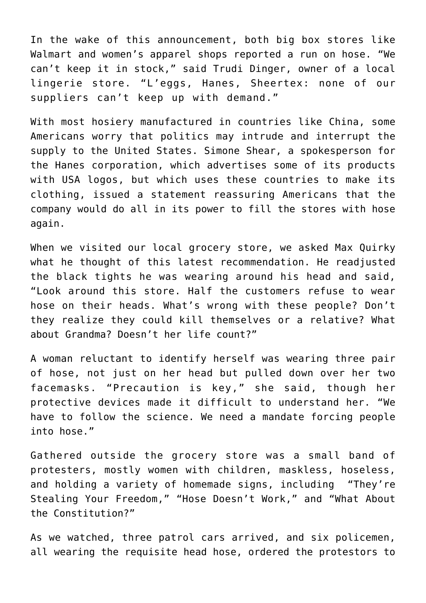In the wake of this announcement, both big box stores like Walmart and women's apparel shops reported a run on hose. "We can't keep it in stock," said Trudi Dinger, owner of a local lingerie store. "L'eggs, Hanes, Sheertex: none of our suppliers can't keep up with demand."

With most hosiery manufactured in countries like China, some Americans worry that politics may intrude and interrupt the supply to the United States. Simone Shear, a spokesperson for the Hanes corporation, which advertises some of its products with USA logos, but which uses these countries to make its clothing, issued a statement reassuring Americans that the company would do all in its power to fill the stores with hose again.

When we visited our local grocery store, we asked Max Quirky what he thought of this latest recommendation. He readjusted the black tights he was wearing around his head and said, "Look around this store. Half the customers refuse to wear hose on their heads. What's wrong with these people? Don't they realize they could kill themselves or a relative? What about Grandma? Doesn't her life count?"

A woman reluctant to identify herself was wearing three pair of hose, not just on her head but pulled down over her two facemasks. "Precaution is key," she said, though her protective devices made it difficult to understand her. "We have to follow the science. We need a mandate forcing people into hose."

Gathered outside the grocery store was a small band of protesters, mostly women with children, maskless, hoseless, and holding a variety of homemade signs, including "They're Stealing Your Freedom," "Hose Doesn't Work," and "What About the Constitution?"

As we watched, three patrol cars arrived, and six policemen, all wearing the requisite head hose, ordered the protestors to